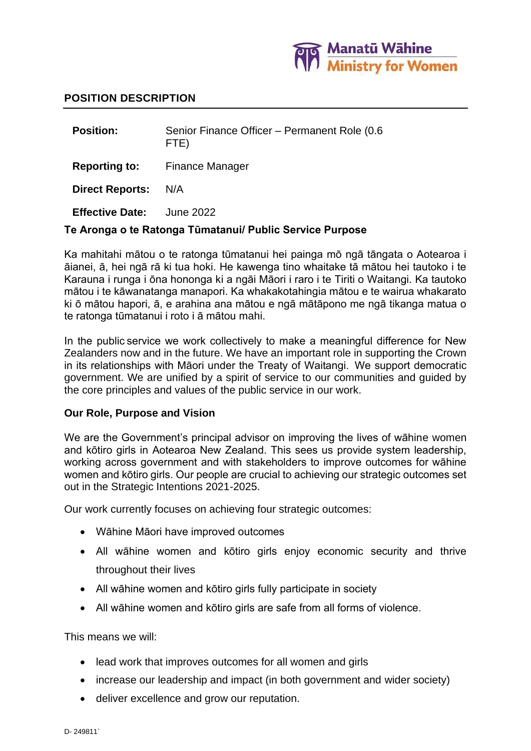

#### **POSITION DESCRIPTION**

**Position:** Senior Finance Officer – Permanent Role (0.6 FTE) **Reporting to:** Finance Manager **Direct Reports:** N/A **Effective Date:** June 2022

#### **Te Aronga o te Ratonga Tūmatanui/ Public Service Purpose**

Ka mahitahi mātou o te ratonga tūmatanui hei painga mō ngā tāngata o Aotearoa i āianei, ā, hei ngā rā ki tua hoki. He kawenga tino whaitake tā mātou hei tautoko i te Karauna i runga i ōna hononga ki a ngāi Māori i raro i te Tiriti o Waitangi. Ka tautoko mātou i te kāwanatanga manapori. Ka whakakotahingia mātou e te wairua whakarato ki ō mātou hapori, ā, e arahina ana mātou e ngā mātāpono me ngā tikanga matua o te ratonga tūmatanui i roto i ā mātou mahi.

In the public service we work collectively to make a meaningful difference for New Zealanders now and in the future. We have an important role in supporting the Crown in its relationships with Māori under the Treaty of Waitangi.  We support democratic government. We are unified by a spirit of service to our communities and guided by the core principles and values of the public service in our work.

#### **Our Role, Purpose and Vision**

We are the Government's principal advisor on improving the lives of wāhine women and kōtiro girls in Aotearoa New Zealand. This sees us provide system leadership, working across government and with stakeholders to improve outcomes for wāhine women and kōtiro girls. Our people are crucial to achieving our strategic outcomes set out in the Strategic Intentions 2021-2025.

Our work currently focuses on achieving four strategic outcomes:

- Wāhine Māori have improved outcomes
- All wāhine women and kōtiro girls enjoy economic security and thrive throughout their lives
- All wāhine women and kōtiro girls fully participate in society
- All wāhine women and kōtiro girls are safe from all forms of violence.

This means we will:

- lead work that improves outcomes for all women and girls
- increase our leadership and impact (in both government and wider society)
- deliver excellence and grow our reputation.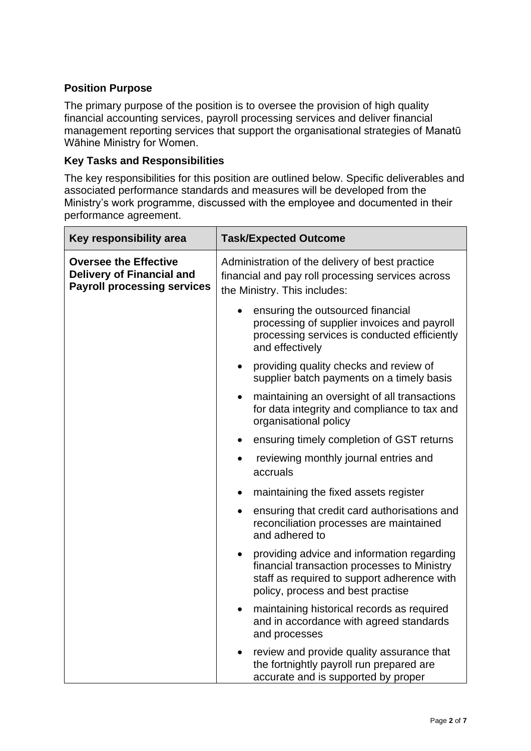# **Position Purpose**

The primary purpose of the position is to oversee the provision of high quality financial accounting services, payroll processing services and deliver financial management reporting services that support the organisational strategies of Manatū Wāhine Ministry for Women.

### **Key Tasks and Responsibilities**

The key responsibilities for this position are outlined below. Specific deliverables and associated performance standards and measures will be developed from the Ministry's work programme, discussed with the employee and documented in their performance agreement.

| Key responsibility area                                                                                | <b>Task/Expected Outcome</b>                                                                                                                                                               |
|--------------------------------------------------------------------------------------------------------|--------------------------------------------------------------------------------------------------------------------------------------------------------------------------------------------|
| <b>Oversee the Effective</b><br><b>Delivery of Financial and</b><br><b>Payroll processing services</b> | Administration of the delivery of best practice<br>financial and pay roll processing services across<br>the Ministry. This includes:                                                       |
|                                                                                                        | ensuring the outsourced financial<br>processing of supplier invoices and payroll<br>processing services is conducted efficiently<br>and effectively                                        |
|                                                                                                        | providing quality checks and review of<br>$\bullet$<br>supplier batch payments on a timely basis                                                                                           |
|                                                                                                        | maintaining an oversight of all transactions<br>$\bullet$<br>for data integrity and compliance to tax and<br>organisational policy                                                         |
|                                                                                                        | ensuring timely completion of GST returns                                                                                                                                                  |
|                                                                                                        | reviewing monthly journal entries and<br>accruals                                                                                                                                          |
|                                                                                                        | maintaining the fixed assets register                                                                                                                                                      |
|                                                                                                        | ensuring that credit card authorisations and<br>$\bullet$<br>reconciliation processes are maintained<br>and adhered to                                                                     |
|                                                                                                        | providing advice and information regarding<br>$\bullet$<br>financial transaction processes to Ministry<br>staff as required to support adherence with<br>policy, process and best practise |
|                                                                                                        | maintaining historical records as required<br>$\bullet$<br>and in accordance with agreed standards<br>and processes                                                                        |
|                                                                                                        | review and provide quality assurance that<br>the fortnightly payroll run prepared are<br>accurate and is supported by proper                                                               |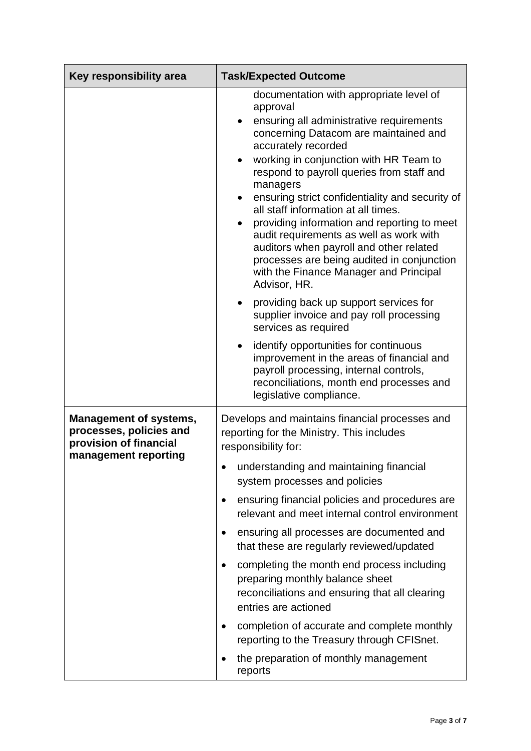| Key responsibility area                                                                                    | <b>Task/Expected Outcome</b>                                                                                                                                                                                                                                                                                                                                                                                                                                                                                                                                                                                                                     |
|------------------------------------------------------------------------------------------------------------|--------------------------------------------------------------------------------------------------------------------------------------------------------------------------------------------------------------------------------------------------------------------------------------------------------------------------------------------------------------------------------------------------------------------------------------------------------------------------------------------------------------------------------------------------------------------------------------------------------------------------------------------------|
|                                                                                                            | documentation with appropriate level of<br>approval<br>ensuring all administrative requirements<br>$\bullet$<br>concerning Datacom are maintained and<br>accurately recorded<br>working in conjunction with HR Team to<br>$\bullet$<br>respond to payroll queries from staff and<br>managers<br>ensuring strict confidentiality and security of<br>all staff information at all times.<br>providing information and reporting to meet<br>$\bullet$<br>audit requirements as well as work with<br>auditors when payroll and other related<br>processes are being audited in conjunction<br>with the Finance Manager and Principal<br>Advisor, HR. |
|                                                                                                            | providing back up support services for<br>$\bullet$<br>supplier invoice and pay roll processing<br>services as required                                                                                                                                                                                                                                                                                                                                                                                                                                                                                                                          |
|                                                                                                            | identify opportunities for continuous<br>$\bullet$<br>improvement in the areas of financial and<br>payroll processing, internal controls,<br>reconciliations, month end processes and<br>legislative compliance.                                                                                                                                                                                                                                                                                                                                                                                                                                 |
| <b>Management of systems,</b><br>processes, policies and<br>provision of financial<br>management reporting | Develops and maintains financial processes and<br>reporting for the Ministry. This includes<br>responsibility for:<br>understanding and maintaining financial                                                                                                                                                                                                                                                                                                                                                                                                                                                                                    |
|                                                                                                            | system processes and policies                                                                                                                                                                                                                                                                                                                                                                                                                                                                                                                                                                                                                    |
|                                                                                                            | ensuring financial policies and procedures are<br>$\bullet$<br>relevant and meet internal control environment                                                                                                                                                                                                                                                                                                                                                                                                                                                                                                                                    |
|                                                                                                            | ensuring all processes are documented and<br>$\bullet$<br>that these are regularly reviewed/updated                                                                                                                                                                                                                                                                                                                                                                                                                                                                                                                                              |
|                                                                                                            | completing the month end process including<br>$\bullet$<br>preparing monthly balance sheet<br>reconciliations and ensuring that all clearing<br>entries are actioned                                                                                                                                                                                                                                                                                                                                                                                                                                                                             |
|                                                                                                            | completion of accurate and complete monthly<br>reporting to the Treasury through CFISnet.                                                                                                                                                                                                                                                                                                                                                                                                                                                                                                                                                        |
|                                                                                                            | the preparation of monthly management<br>reports                                                                                                                                                                                                                                                                                                                                                                                                                                                                                                                                                                                                 |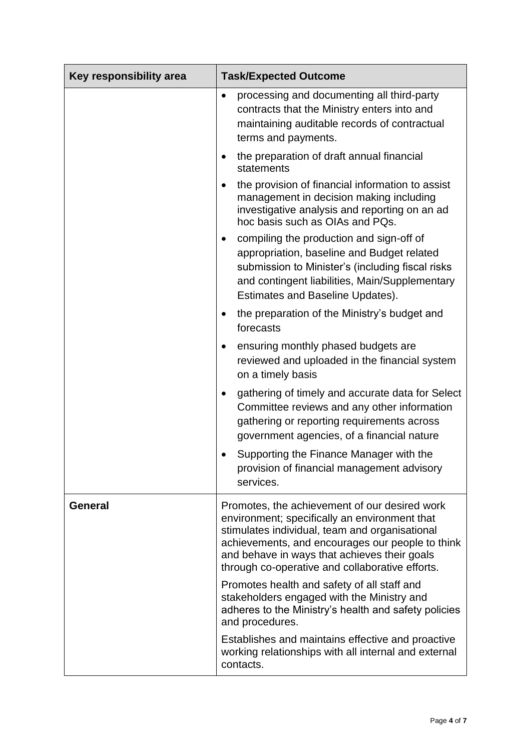| Key responsibility area | <b>Task/Expected Outcome</b>                                                                                                                                                                                                                                                                            |
|-------------------------|---------------------------------------------------------------------------------------------------------------------------------------------------------------------------------------------------------------------------------------------------------------------------------------------------------|
|                         | processing and documenting all third-party<br>٠<br>contracts that the Ministry enters into and<br>maintaining auditable records of contractual<br>terms and payments.                                                                                                                                   |
|                         | the preparation of draft annual financial<br>statements                                                                                                                                                                                                                                                 |
|                         | the provision of financial information to assist<br>management in decision making including<br>investigative analysis and reporting on an ad<br>hoc basis such as OIAs and PQs.                                                                                                                         |
|                         | compiling the production and sign-off of<br>٠<br>appropriation, baseline and Budget related<br>submission to Minister's (including fiscal risks<br>and contingent liabilities, Main/Supplementary<br>Estimates and Baseline Updates).                                                                   |
|                         | the preparation of the Ministry's budget and<br>forecasts                                                                                                                                                                                                                                               |
|                         | ensuring monthly phased budgets are<br>٠<br>reviewed and uploaded in the financial system<br>on a timely basis                                                                                                                                                                                          |
|                         | gathering of timely and accurate data for Select<br>$\bullet$<br>Committee reviews and any other information<br>gathering or reporting requirements across<br>government agencies, of a financial nature                                                                                                |
|                         | Supporting the Finance Manager with the<br>provision of financial management advisory<br>services.                                                                                                                                                                                                      |
| <b>General</b>          | Promotes, the achievement of our desired work<br>environment; specifically an environment that<br>stimulates individual, team and organisational<br>achievements, and encourages our people to think<br>and behave in ways that achieves their goals<br>through co-operative and collaborative efforts. |
|                         | Promotes health and safety of all staff and<br>stakeholders engaged with the Ministry and<br>adheres to the Ministry's health and safety policies<br>and procedures.                                                                                                                                    |
|                         | Establishes and maintains effective and proactive<br>working relationships with all internal and external<br>contacts.                                                                                                                                                                                  |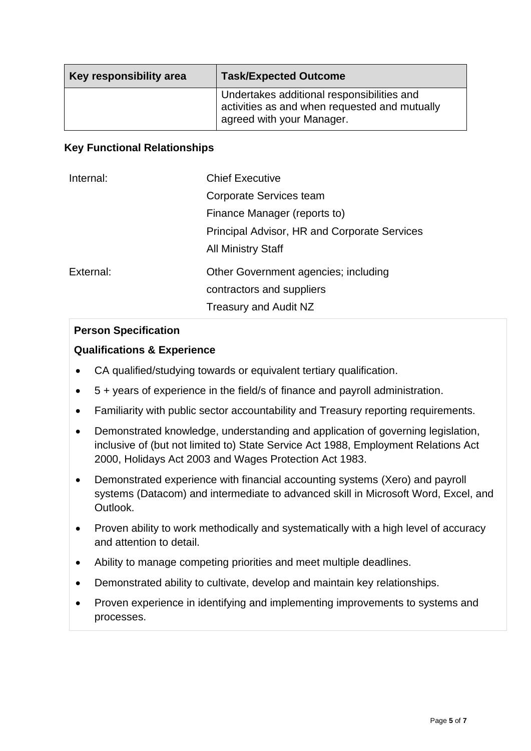| Key responsibility area | <b>Task/Expected Outcome</b>                                                                                             |
|-------------------------|--------------------------------------------------------------------------------------------------------------------------|
|                         | Undertakes additional responsibilities and<br>activities as and when requested and mutually<br>agreed with your Manager. |

### **Key Functional Relationships**

| Internal: | <b>Chief Executive</b>                              |
|-----------|-----------------------------------------------------|
|           | Corporate Services team                             |
|           | Finance Manager (reports to)                        |
|           | <b>Principal Advisor, HR and Corporate Services</b> |
|           | <b>All Ministry Staff</b>                           |
| External: | Other Government agencies; including                |
|           | contractors and suppliers                           |
|           | Treasury and Audit NZ                               |

## **Person Specification**

## **Qualifications & Experience**

- CA qualified/studying towards or equivalent tertiary qualification.
- 5 + years of experience in the field/s of finance and payroll administration.
- Familiarity with public sector accountability and Treasury reporting requirements.
- Demonstrated knowledge, understanding and application of governing legislation, inclusive of (but not limited to) State Service Act 1988, Employment Relations Act 2000, Holidays Act 2003 and Wages Protection Act 1983.
- Demonstrated experience with financial accounting systems (Xero) and payroll systems (Datacom) and intermediate to advanced skill in Microsoft Word, Excel, and Outlook.
- Proven ability to work methodically and systematically with a high level of accuracy and attention to detail.
- Ability to manage competing priorities and meet multiple deadlines.
- Demonstrated ability to cultivate, develop and maintain key relationships.
- Proven experience in identifying and implementing improvements to systems and processes.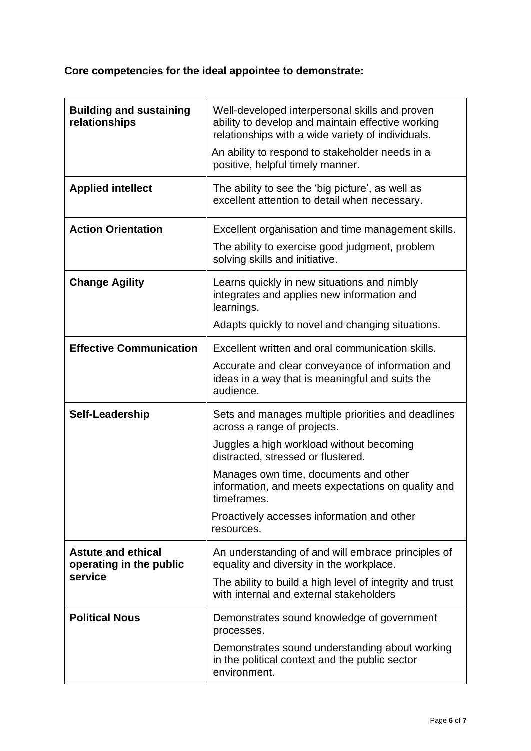# **Core competencies for the ideal appointee to demonstrate:**

| <b>Building and sustaining</b><br>relationships                 | Well-developed interpersonal skills and proven<br>ability to develop and maintain effective working<br>relationships with a wide variety of individuals.<br>An ability to respond to stakeholder needs in a<br>positive, helpful timely manner. |
|-----------------------------------------------------------------|-------------------------------------------------------------------------------------------------------------------------------------------------------------------------------------------------------------------------------------------------|
| <b>Applied intellect</b>                                        | The ability to see the 'big picture', as well as<br>excellent attention to detail when necessary.                                                                                                                                               |
| <b>Action Orientation</b>                                       | Excellent organisation and time management skills.<br>The ability to exercise good judgment, problem<br>solving skills and initiative.                                                                                                          |
| <b>Change Agility</b>                                           | Learns quickly in new situations and nimbly<br>integrates and applies new information and<br>learnings.                                                                                                                                         |
|                                                                 | Adapts quickly to novel and changing situations.                                                                                                                                                                                                |
| <b>Effective Communication</b>                                  | Excellent written and oral communication skills.                                                                                                                                                                                                |
|                                                                 | Accurate and clear conveyance of information and<br>ideas in a way that is meaningful and suits the<br>audience.                                                                                                                                |
| Self-Leadership                                                 | Sets and manages multiple priorities and deadlines<br>across a range of projects.                                                                                                                                                               |
|                                                                 | Juggles a high workload without becoming<br>distracted, stressed or flustered.                                                                                                                                                                  |
|                                                                 | Manages own time, documents and other<br>information, and meets expectations on quality and<br>timeframes.                                                                                                                                      |
|                                                                 | Proactively accesses information and other<br>resources.                                                                                                                                                                                        |
| <b>Astute and ethical</b><br>operating in the public<br>service | An understanding of and will embrace principles of<br>equality and diversity in the workplace.                                                                                                                                                  |
|                                                                 | The ability to build a high level of integrity and trust<br>with internal and external stakeholders                                                                                                                                             |
| <b>Political Nous</b>                                           | Demonstrates sound knowledge of government<br>processes.                                                                                                                                                                                        |
|                                                                 | Demonstrates sound understanding about working<br>in the political context and the public sector<br>environment.                                                                                                                                |